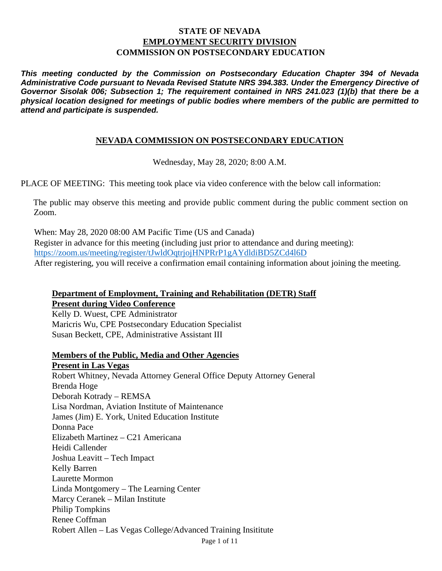### **STATE OF NEVADA EMPLOYMENT SECURITY DIVISION COMMISSION ON POSTSECONDARY EDUCATION**

*This meeting conducted by the Commission on Postsecondary Education Chapter 394 of Nevada Administrative Code pursuant to Nevada Revised Statute NRS 394.383. Under the Emergency Directive of Governor Sisolak 006; Subsection 1; The requirement contained in NRS 241.023 (1)(b) that there be a physical location designed for meetings of public bodies where members of the public are permitted to attend and participate is suspended.*

### **NEVADA COMMISSION ON POSTSECONDARY EDUCATION**

Wednesday, May 28, 2020; 8:00 A.M.

PLACE OF MEETING: This meeting took place via video conference with the below call information:

The public may observe this meeting and provide public comment during the public comment section on Zoom.

When: May 28, 2020 08:00 AM Pacific Time (US and Canada) Register in advance for this meeting (including just prior to attendance and during meeting): <https://zoom.us/meeting/register/tJwldOqtrjojHNPRrP1gAYdldiBD5ZCd4l6D> After registering, you will receive a confirmation email containing information about joining the meeting.

#### **Department of Employment, Training and Rehabilitation (DETR) Staff Present during Video Conference**

Kelly D. Wuest, CPE Administrator Maricris Wu, CPE Postsecondary Education Specialist Susan Beckett, CPE, Administrative Assistant III

#### **Members of the Public, Media and Other Agencies**

Page 1 of 11 **Present in Las Vegas** Robert Whitney, Nevada Attorney General Office Deputy Attorney General Brenda Hoge Deborah Kotrady – REMSA Lisa Nordman, Aviation Institute of Maintenance James (Jim) E. York, United Education Institute Donna Pace Elizabeth Martinez – C21 Americana Heidi Callender Joshua Leavitt – Tech Impact Kelly Barren Laurette Mormon Linda Montgomery – The Learning Center Marcy Ceranek – Milan Institute Philip Tompkins Renee Coffman Robert Allen – Las Vegas College/Advanced Training Insititute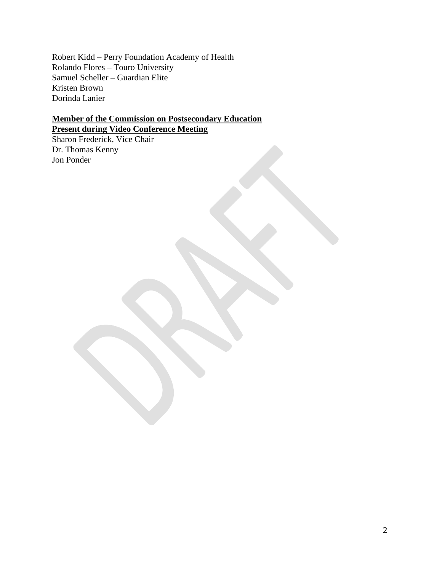Robert Kidd – Perry Foundation Academy of Health Rolando Flores – Touro University Samuel Scheller – Guardian Elite Kristen Brown Dorinda Lanier

# **Member of the Commission on Postsecondary Education**

**Present during Video Conference Meeting** Sharon Frederick, Vice Chair Dr. Thomas Kenny Jon Ponder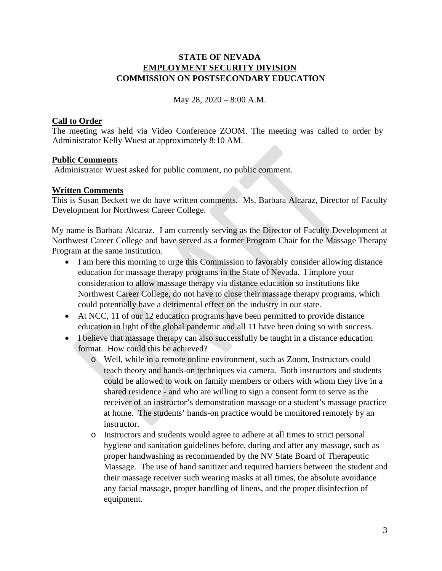### **STATE OF NEVADA EMPLOYMENT SECURITY DIVISION COMMISSION ON POSTSECONDARY EDUCATION**

May 28, 2020 – 8:00 A.M.

#### **Call to Order**

The meeting was held via Video Conference ZOOM. The meeting was called to order by Administrator Kelly Wuest at approximately 8:10 AM.

### **Public Comments**

Administrator Wuest asked for public comment, no public comment.

## **Written Comments**

This is Susan Beckett we do have written comments. Ms. Barbara Alcaraz, Director of Faculty Development for Northwest Career College.

My name is Barbara Alcaraz. I am currently serving as the Director of Faculty Development at Northwest Career College and have served as a former Program Chair for the Massage Therapy Program at the same institution.

- I am here this morning to urge this Commission to favorably consider allowing distance education for massage therapy programs in the State of Nevada. I implore your consideration to allow massage therapy via distance education so institutions like Northwest Career College, do not have to close their massage therapy programs, which could potentially have a detrimental effect on the industry in our state.
- At NCC, 11 of our 12 education programs have been permitted to provide distance education in light of the global pandemic and all 11 have been doing so with success.
- I believe that massage therapy can also successfully be taught in a distance education format. How could this be achieved?
	- o Well, while in a remote online environment, such as Zoom, Instructors could teach theory and hands-on techniques via camera. Both instructors and students could be allowed to work on family members or others with whom they live in a shared residence - and who are willing to sign a consent form to serve as the receiver of an instructor's demonstration massage or a student's massage practice at home. The students' hands-on practice would be monitored remotely by an instructor.
	- o Instructors and students would agree to adhere at all times to strict personal hygiene and sanitation guidelines before, during and after any massage, such as proper handwashing as recommended by the NV State Board of Therapeutic Massage. The use of hand sanitizer and required barriers between the student and their massage receiver such wearing masks at all times, the absolute avoidance any facial massage, proper handling of linens, and the proper disinfection of equipment.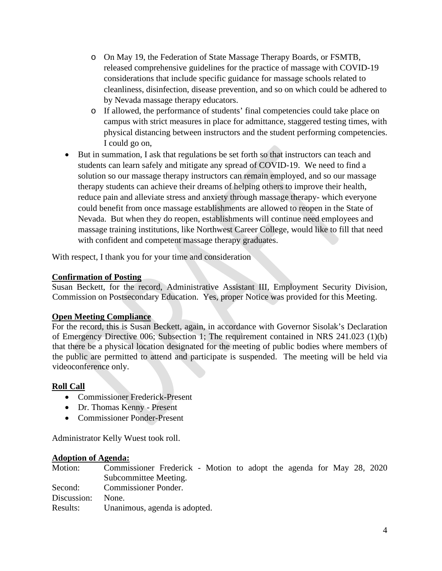- o On May 19, the Federation of State Massage Therapy Boards, or FSMTB, released comprehensive guidelines for the practice of massage with COVID-19 considerations that include specific guidance for massage schools related to cleanliness, disinfection, disease prevention, and so on which could be adhered to by Nevada massage therapy educators.
- o If allowed, the performance of students' final competencies could take place on campus with strict measures in place for admittance, staggered testing times, with physical distancing between instructors and the student performing competencies. I could go on,
- But in summation, I ask that regulations be set forth so that instructors can teach and students can learn safely and mitigate any spread of COVID-19. We need to find a solution so our massage therapy instructors can remain employed, and so our massage therapy students can achieve their dreams of helping others to improve their health, reduce pain and alleviate stress and anxiety through massage therapy- which everyone could benefit from once massage establishments are allowed to reopen in the State of Nevada. But when they do reopen, establishments will continue need employees and massage training institutions, like Northwest Career College, would like to fill that need with confident and competent massage therapy graduates.

With respect, I thank you for your time and consideration

### **Confirmation of Posting**

Susan Beckett, for the record, Administrative Assistant III, Employment Security Division, Commission on Postsecondary Education. Yes, proper Notice was provided for this Meeting.

## **Open Meeting Compliance**

For the record, this is Susan Beckett, again, in accordance with Governor Sisolak's Declaration of Emergency Directive 006; Subsection 1; The requirement contained in NRS 241.023 (1)(b) that there be a physical location designated for the meeting of public bodies where members of the public are permitted to attend and participate is suspended. The meeting will be held via videoconference only.

## **Roll Call**

- Commissioner Frederick-Present
- Dr. Thomas Kenny Present
- Commissioner Ponder-Present

Administrator Kelly Wuest took roll.

#### **Adoption of Agenda:**

| Motion:     | Commissioner Frederick - Motion to adopt the agenda for May 28, 2020 |  |
|-------------|----------------------------------------------------------------------|--|
|             | Subcommittee Meeting.                                                |  |
| Second:     | <b>Commissioner Ponder.</b>                                          |  |
| Discussion: | None.                                                                |  |
| Results:    | Unanimous, agenda is adopted.                                        |  |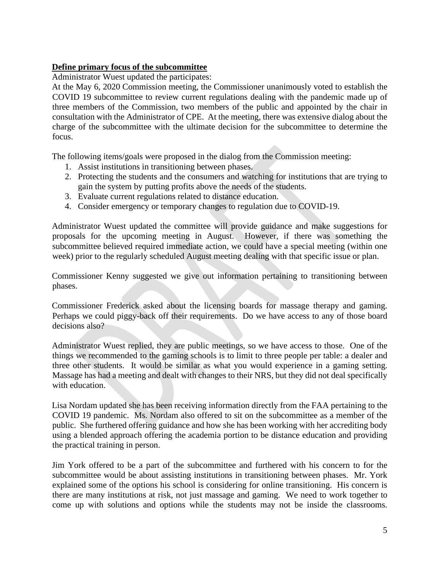# **Define primary focus of the subcommittee**

Administrator Wuest updated the participates:

At the May 6, 2020 Commission meeting, the Commissioner unanimously voted to establish the COVID 19 subcommittee to review current regulations dealing with the pandemic made up of three members of the Commission, two members of the public and appointed by the chair in consultation with the Administrator of CPE. At the meeting, there was extensive dialog about the charge of the subcommittee with the ultimate decision for the subcommittee to determine the focus.

The following items/goals were proposed in the dialog from the Commission meeting:

- 1. Assist institutions in transitioning between phases.
- 2. Protecting the students and the consumers and watching for institutions that are trying to gain the system by putting profits above the needs of the students.
- 3. Evaluate current regulations related to distance education.
- 4. Consider emergency or temporary changes to regulation due to COVID-19.

Administrator Wuest updated the committee will provide guidance and make suggestions for proposals for the upcoming meeting in August. However, if there was something the subcommittee believed required immediate action, we could have a special meeting (within one week) prior to the regularly scheduled August meeting dealing with that specific issue or plan.

Commissioner Kenny suggested we give out information pertaining to transitioning between phases.

Commissioner Frederick asked about the licensing boards for massage therapy and gaming. Perhaps we could piggy-back off their requirements. Do we have access to any of those board decisions also?

Administrator Wuest replied, they are public meetings, so we have access to those. One of the things we recommended to the gaming schools is to limit to three people per table: a dealer and three other students. It would be similar as what you would experience in a gaming setting. Massage has had a meeting and dealt with changes to their NRS, but they did not deal specifically with education.

Lisa Nordam updated she has been receiving information directly from the FAA pertaining to the COVID 19 pandemic. Ms. Nordam also offered to sit on the subcommittee as a member of the public. She furthered offering guidance and how she has been working with her accrediting body using a blended approach offering the academia portion to be distance education and providing the practical training in person.

Jim York offered to be a part of the subcommittee and furthered with his concern to for the subcommittee would be about assisting institutions in transitioning between phases. Mr. York explained some of the options his school is considering for online transitioning. His concern is there are many institutions at risk, not just massage and gaming. We need to work together to come up with solutions and options while the students may not be inside the classrooms.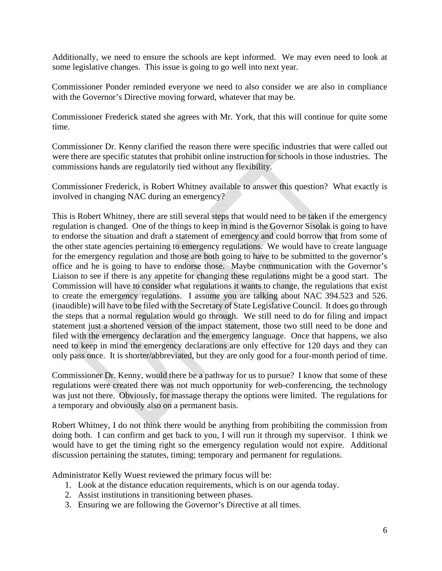Additionally, we need to ensure the schools are kept informed. We may even need to look at some legislative changes. This issue is going to go well into next year.

Commissioner Ponder reminded everyone we need to also consider we are also in compliance with the Governor's Directive moving forward, whatever that may be.

Commissioner Frederick stated she agrees with Mr. York, that this will continue for quite some time.

Commissioner Dr. Kenny clarified the reason there were specific industries that were called out were there are specific statutes that prohibit online instruction for schools in those industries. The commissions hands are regulatorily tied without any flexibility.

Commissioner Frederick, is Robert Whitney available to answer this question? What exactly is involved in changing NAC during an emergency?

This is Robert Whitney, there are still several steps that would need to be taken if the emergency regulation is changed. One of the things to keep in mind is the Governor Sisolak is going to have to endorse the situation and draft a statement of emergency and could borrow that from some of the other state agencies pertaining to emergency regulations. We would have to create language for the emergency regulation and those are both going to have to be submitted to the governor's office and he is going to have to endorse those. Maybe communication with the Governor's Liaison to see if there is any appetite for changing these regulations might be a good start. The Commission will have to consider what regulations it wants to change, the regulations that exist to create the emergency regulations. I assume you are talking about NAC 394.523 and 526. (inaudible) will have to be filed with the Secretary of State Legislative Council. It does go through the steps that a normal regulation would go through. We still need to do for filing and impact statement just a shortened version of the impact statement, those two still need to be done and filed with the emergency declaration and the emergency language. Once that happens, we also need to keep in mind the emergency declarations are only effective for 120 days and they can only pass once. It is shorter/abbreviated, but they are only good for a four-month period of time.

Commissioner Dr. Kenny, would there be a pathway for us to pursue? I know that some of these regulations were created there was not much opportunity for web-conferencing, the technology was just not there. Obviously, for massage therapy the options were limited. The regulations for a temporary and obviously also on a permanent basis.

Robert Whitney, I do not think there would be anything from prohibiting the commission from doing both. I can confirm and get back to you, I will run it through my supervisor. I think we would have to get the timing right so the emergency regulation would not expire. Additional discussion pertaining the statutes, timing; temporary and permanent for regulations.

Administrator Kelly Wuest reviewed the primary focus will be:

- 1. Look at the distance education requirements, which is on our agenda today.
- 2. Assist institutions in transitioning between phases.
- 3. Ensuring we are following the Governor's Directive at all times.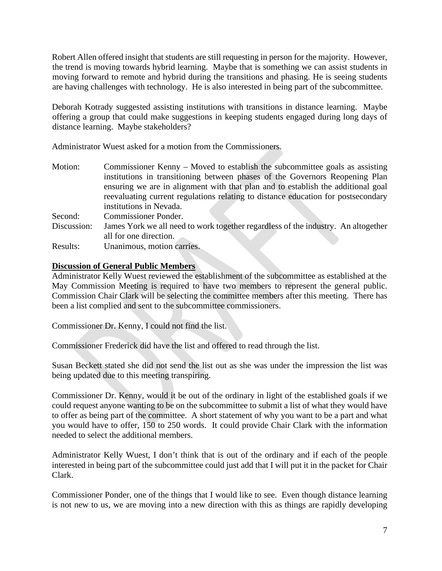Robert Allen offered insight that students are still requesting in person for the majority. However, the trend is moving towards hybrid learning. Maybe that is something we can assist students in moving forward to remote and hybrid during the transitions and phasing. He is seeing students are having challenges with technology. He is also interested in being part of the subcommittee.

Deborah Kotrady suggested assisting institutions with transitions in distance learning. Maybe offering a group that could make suggestions in keeping students engaged during long days of distance learning. Maybe stakeholders?

Administrator Wuest asked for a motion from the Commissioners.

| Motion:     | Commissioner Kenny – Moved to establish the subcommittee goals as assisting       |
|-------------|-----------------------------------------------------------------------------------|
|             | institutions in transitioning between phases of the Governors Reopening Plan      |
|             | ensuring we are in alignment with that plan and to establish the additional goal  |
|             | reevaluating current regulations relating to distance education for postsecondary |
|             | institutions in Nevada.                                                           |
| Second:     | <b>Commissioner Ponder.</b>                                                       |
| Discussion: | James York we all need to work together regardless of the industry. An altogether |
|             | all for one direction.                                                            |
| Results:    | Unanimous, motion carries.                                                        |

#### **Discussion of General Public Members**

Administrator Kelly Wuest reviewed the establishment of the subcommittee as established at the May Commission Meeting is required to have two members to represent the general public. Commission Chair Clark will be selecting the committee members after this meeting. There has been a list complied and sent to the subcommittee commissioners.

Commissioner Dr. Kenny, I could not find the list.

Commissioner Frederick did have the list and offered to read through the list.

Susan Beckett stated she did not send the list out as she was under the impression the list was being updated due to this meeting transpiring.

Commissioner Dr. Kenny, would it be out of the ordinary in light of the established goals if we could request anyone wanting to be on the subcommittee to submit a list of what they would have to offer as being part of the committee. A short statement of why you want to be a part and what you would have to offer, 150 to 250 words. It could provide Chair Clark with the information needed to select the additional members.

Administrator Kelly Wuest, I don't think that is out of the ordinary and if each of the people interested in being part of the subcommittee could just add that I will put it in the packet for Chair Clark.

Commissioner Ponder, one of the things that I would like to see. Even though distance learning is not new to us, we are moving into a new direction with this as things are rapidly developing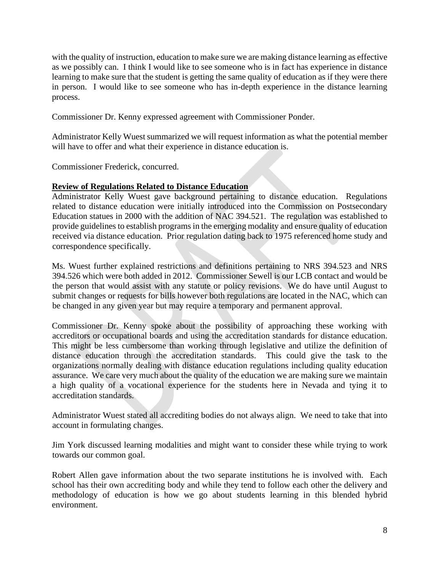with the quality of instruction, education to make sure we are making distance learning as effective as we possibly can. I think I would like to see someone who is in fact has experience in distance learning to make sure that the student is getting the same quality of education as if they were there in person. I would like to see someone who has in-depth experience in the distance learning process.

Commissioner Dr. Kenny expressed agreement with Commissioner Ponder.

Administrator Kelly Wuest summarized we will request information as what the potential member will have to offer and what their experience in distance education is.

Commissioner Frederick, concurred.

### **Review of Regulations Related to Distance Education**

Administrator Kelly Wuest gave background pertaining to distance education. Regulations related to distance education were initially introduced into the Commission on Postsecondary Education statues in 2000 with the addition of NAC 394.521. The regulation was established to provide guidelines to establish programs in the emerging modality and ensure quality of education received via distance education. Prior regulation dating back to 1975 referenced home study and correspondence specifically.

Ms. Wuest further explained restrictions and definitions pertaining to NRS 394.523 and NRS 394.526 which were both added in 2012. Commissioner Sewell is our LCB contact and would be the person that would assist with any statute or policy revisions. We do have until August to submit changes or requests for bills however both regulations are located in the NAC, which can be changed in any given year but may require a temporary and permanent approval.

Commissioner Dr. Kenny spoke about the possibility of approaching these working with accreditors or occupational boards and using the accreditation standards for distance education. This might be less cumbersome than working through legislative and utilize the definition of distance education through the accreditation standards. This could give the task to the organizations normally dealing with distance education regulations including quality education assurance. We care very much about the quality of the education we are making sure we maintain a high quality of a vocational experience for the students here in Nevada and tying it to accreditation standards.

Administrator Wuest stated all accrediting bodies do not always align. We need to take that into account in formulating changes.

Jim York discussed learning modalities and might want to consider these while trying to work towards our common goal.

Robert Allen gave information about the two separate institutions he is involved with. Each school has their own accrediting body and while they tend to follow each other the delivery and methodology of education is how we go about students learning in this blended hybrid environment.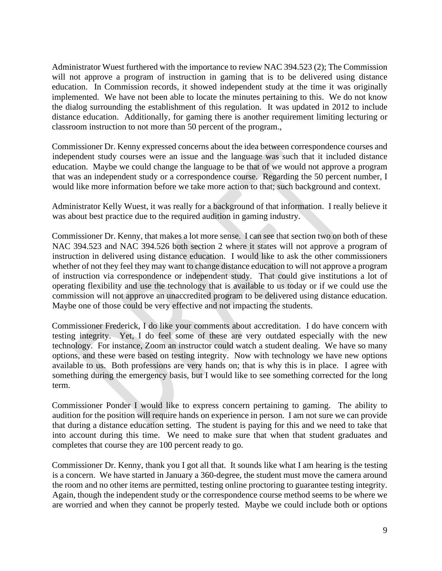Administrator Wuest furthered with the importance to review NAC 394.523 (2); The Commission will not approve a program of instruction in gaming that is to be delivered using distance education. In Commission records, it showed independent study at the time it was originally implemented. We have not been able to locate the minutes pertaining to this. We do not know the dialog surrounding the establishment of this regulation. It was updated in 2012 to include distance education. Additionally, for gaming there is another requirement limiting lecturing or classroom instruction to not more than 50 percent of the program.,

Commissioner Dr. Kenny expressed concerns about the idea between correspondence courses and independent study courses were an issue and the language was such that it included distance education. Maybe we could change the language to be that of we would not approve a program that was an independent study or a correspondence course. Regarding the 50 percent number, I would like more information before we take more action to that; such background and context.

Administrator Kelly Wuest, it was really for a background of that information. I really believe it was about best practice due to the required audition in gaming industry.

Commissioner Dr. Kenny, that makes a lot more sense. I can see that section two on both of these NAC 394.523 and NAC 394.526 both section 2 where it states will not approve a program of instruction in delivered using distance education. I would like to ask the other commissioners whether of not they feel they may want to change distance education to will not approve a program of instruction via correspondence or independent study. That could give institutions a lot of operating flexibility and use the technology that is available to us today or if we could use the commission will not approve an unaccredited program to be delivered using distance education. Maybe one of those could be very effective and not impacting the students.

Commissioner Frederick, I do like your comments about accreditation. I do have concern with testing integrity. Yet, I do feel some of these are very outdated especially with the new technology. For instance, Zoom an instructor could watch a student dealing. We have so many options, and these were based on testing integrity. Now with technology we have new options available to us. Both professions are very hands on; that is why this is in place. I agree with something during the emergency basis, but I would like to see something corrected for the long term.

Commissioner Ponder I would like to express concern pertaining to gaming. The ability to audition for the position will require hands on experience in person. I am not sure we can provide that during a distance education setting. The student is paying for this and we need to take that into account during this time. We need to make sure that when that student graduates and completes that course they are 100 percent ready to go.

Commissioner Dr. Kenny, thank you I got all that. It sounds like what I am hearing is the testing is a concern. We have started in January a 360-degree, the student must move the camera around the room and no other items are permitted, testing online proctoring to guarantee testing integrity. Again, though the independent study or the correspondence course method seems to be where we are worried and when they cannot be properly tested. Maybe we could include both or options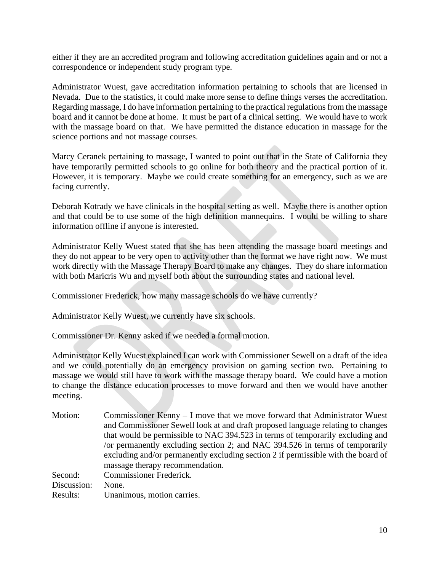either if they are an accredited program and following accreditation guidelines again and or not a correspondence or independent study program type.

Administrator Wuest, gave accreditation information pertaining to schools that are licensed in Nevada. Due to the statistics, it could make more sense to define things verses the accreditation. Regarding massage, I do have information pertaining to the practical regulations from the massage board and it cannot be done at home. It must be part of a clinical setting. We would have to work with the massage board on that. We have permitted the distance education in massage for the science portions and not massage courses.

Marcy Ceranek pertaining to massage, I wanted to point out that in the State of California they have temporarily permitted schools to go online for both theory and the practical portion of it. However, it is temporary. Maybe we could create something for an emergency, such as we are facing currently.

Deborah Kotrady we have clinicals in the hospital setting as well. Maybe there is another option and that could be to use some of the high definition mannequins. I would be willing to share information offline if anyone is interested.

Administrator Kelly Wuest stated that she has been attending the massage board meetings and they do not appear to be very open to activity other than the format we have right now. We must work directly with the Massage Therapy Board to make any changes. They do share information with both Maricris Wu and myself both about the surrounding states and national level.

Commissioner Frederick, how many massage schools do we have currently?

Administrator Kelly Wuest, we currently have six schools.

Commissioner Dr. Kenny asked if we needed a formal motion.

Administrator Kelly Wuest explained I can work with Commissioner Sewell on a draft of the idea and we could potentially do an emergency provision on gaming section two. Pertaining to massage we would still have to work with the massage therapy board. We could have a motion to change the distance education processes to move forward and then we would have another meeting.

Motion: Commissioner Kenny – I move that we move forward that Administrator Wuest and Commissioner Sewell look at and draft proposed language relating to changes that would be permissible to NAC 394.523 in terms of temporarily excluding and /or permanently excluding section 2; and NAC 394.526 in terms of temporarily excluding and/or permanently excluding section 2 if permissible with the board of massage therapy recommendation. Second: Commissioner Frederick. Discussion: None. Results: Unanimous, motion carries.